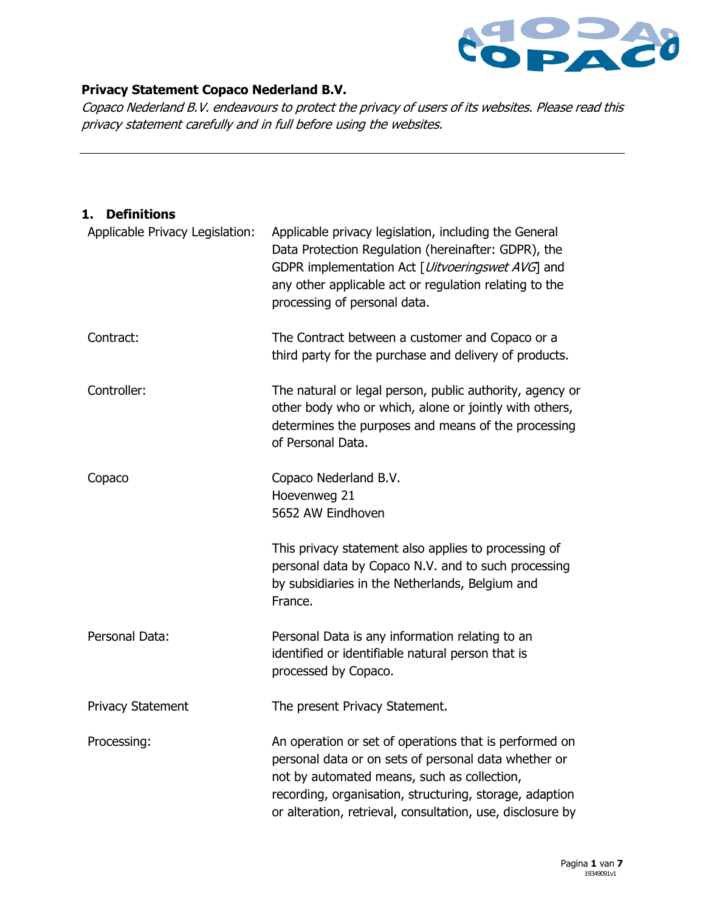

### **Privacy Statement Copaco Nederland B.V.**

Copaco Nederland B.V. endeavours to protect the privacy of users of its websites. Please read this privacy statement carefully and in full before using the websites.

# **1. Definitions**

| Applicable Privacy Legislation: | Applicable privacy legislation, including the General<br>Data Protection Regulation (hereinafter: GDPR), the<br>GDPR implementation Act [Uitvoeringswet AVG] and<br>any other applicable act or regulation relating to the<br>processing of personal data.                             |
|---------------------------------|----------------------------------------------------------------------------------------------------------------------------------------------------------------------------------------------------------------------------------------------------------------------------------------|
| Contract:                       | The Contract between a customer and Copaco or a<br>third party for the purchase and delivery of products.                                                                                                                                                                              |
| Controller:                     | The natural or legal person, public authority, agency or<br>other body who or which, alone or jointly with others,<br>determines the purposes and means of the processing<br>of Personal Data.                                                                                         |
| Copaco                          | Copaco Nederland B.V.<br>Hoevenweg 21<br>5652 AW Eindhoven                                                                                                                                                                                                                             |
|                                 | This privacy statement also applies to processing of<br>personal data by Copaco N.V. and to such processing<br>by subsidiaries in the Netherlands, Belgium and<br>France.                                                                                                              |
| Personal Data:                  | Personal Data is any information relating to an<br>identified or identifiable natural person that is<br>processed by Copaco.                                                                                                                                                           |
| <b>Privacy Statement</b>        | The present Privacy Statement.                                                                                                                                                                                                                                                         |
| Processing:                     | An operation or set of operations that is performed on<br>personal data or on sets of personal data whether or<br>not by automated means, such as collection,<br>recording, organisation, structuring, storage, adaption<br>or alteration, retrieval, consultation, use, disclosure by |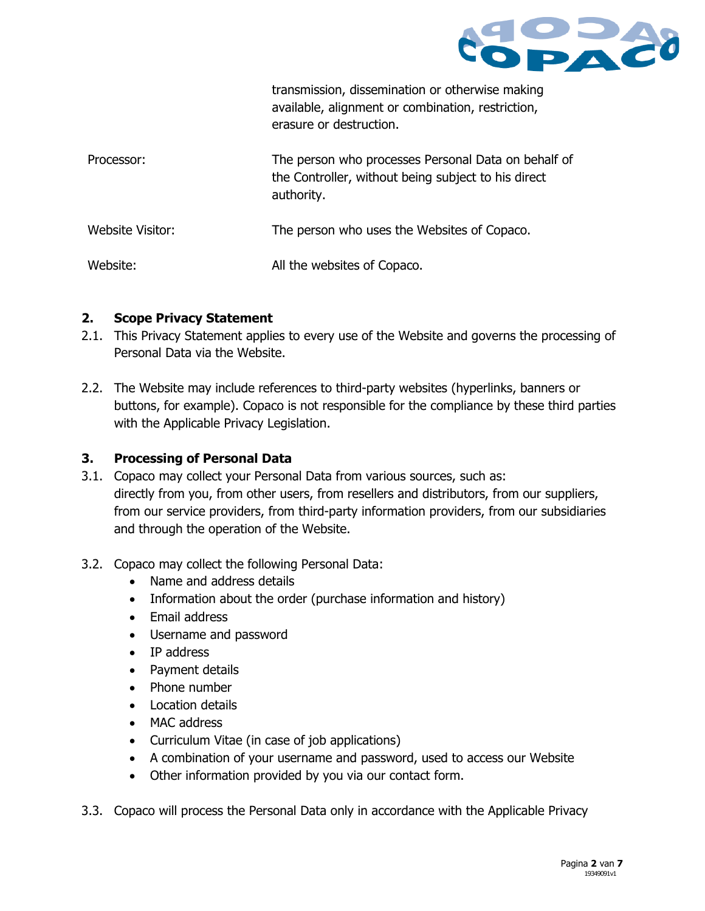

transmission, dissemination or otherwise making available, alignment or combination, restriction, erasure or destruction.

| Processor:       | The person who processes Personal Data on behalf of<br>the Controller, without being subject to his direct<br>authority. |
|------------------|--------------------------------------------------------------------------------------------------------------------------|
| Website Visitor: | The person who uses the Websites of Copaco.                                                                              |
| Website:         | All the websites of Copaco.                                                                                              |

### **2. Scope Privacy Statement**

- 2.1. This Privacy Statement applies to every use of the Website and governs the processing of Personal Data via the Website.
- 2.2. The Website may include references to third-party websites (hyperlinks, banners or buttons, for example). Copaco is not responsible for the compliance by these third parties with the Applicable Privacy Legislation.

#### **3. Processing of Personal Data**

- 3.1. Copaco may collect your Personal Data from various sources, such as: directly from you, from other users, from resellers and distributors, from our suppliers, from our service providers, from third-party information providers, from our subsidiaries and through the operation of the Website.
- 3.2. Copaco may collect the following Personal Data:
	- Name and address details
	- Information about the order (purchase information and history)
	- Email address
	- Username and password
	- IP address
	- Payment details
	- Phone number
	- Location details
	- MAC address
	- Curriculum Vitae (in case of job applications)
	- A combination of your username and password, used to access our Website
	- Other information provided by you via our contact form.
- 3.3. Copaco will process the Personal Data only in accordance with the Applicable Privacy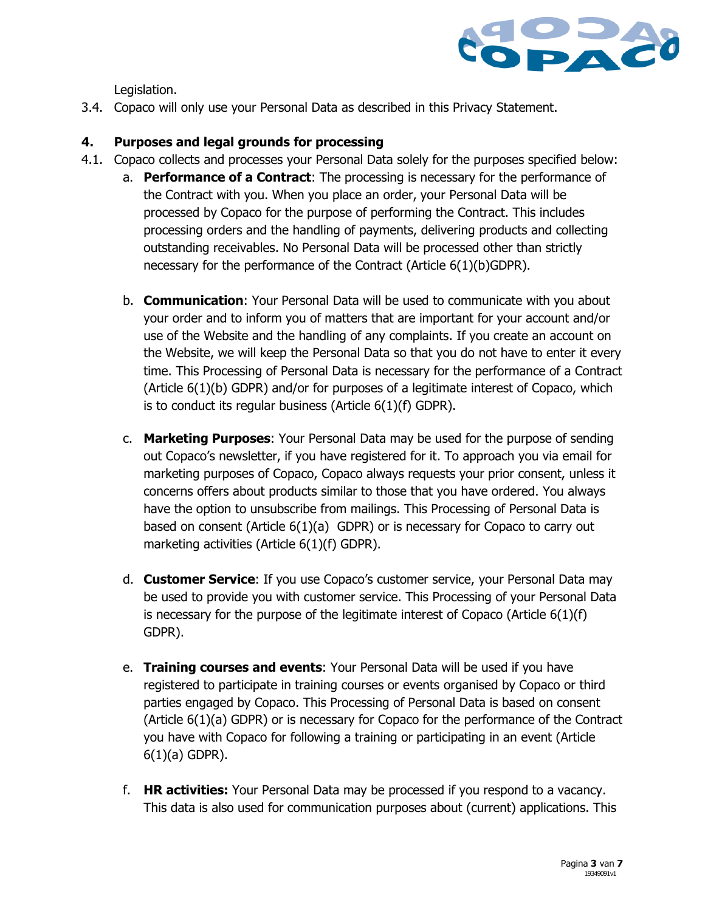

Legislation.

3.4. Copaco will only use your Personal Data as described in this Privacy Statement.

# **4. Purposes and legal grounds for processing**

- 4.1. Copaco collects and processes your Personal Data solely for the purposes specified below:
	- a. **Performance of a Contract**: The processing is necessary for the performance of the Contract with you. When you place an order, your Personal Data will be processed by Copaco for the purpose of performing the Contract. This includes processing orders and the handling of payments, delivering products and collecting outstanding receivables. No Personal Data will be processed other than strictly necessary for the performance of the Contract (Article 6(1)(b)GDPR).
	- b. **Communication**: Your Personal Data will be used to communicate with you about your order and to inform you of matters that are important for your account and/or use of the Website and the handling of any complaints. If you create an account on the Website, we will keep the Personal Data so that you do not have to enter it every time. This Processing of Personal Data is necessary for the performance of a Contract (Article 6(1)(b) GDPR) and/or for purposes of a legitimate interest of Copaco, which is to conduct its regular business (Article 6(1)(f) GDPR).
	- c. **Marketing Purposes**: Your Personal Data may be used for the purpose of sending out Copaco's newsletter, if you have registered for it. To approach you via email for marketing purposes of Copaco, Copaco always requests your prior consent, unless it concerns offers about products similar to those that you have ordered. You always have the option to unsubscribe from mailings. This Processing of Personal Data is based on consent (Article 6(1)(a) GDPR) or is necessary for Copaco to carry out marketing activities (Article 6(1)(f) GDPR).
	- d. **Customer Service**: If you use Copaco's customer service, your Personal Data may be used to provide you with customer service. This Processing of your Personal Data is necessary for the purpose of the legitimate interest of Copaco (Article  $6(1)(f)$ ) GDPR).
	- e. **Training courses and events**: Your Personal Data will be used if you have registered to participate in training courses or events organised by Copaco or third parties engaged by Copaco. This Processing of Personal Data is based on consent (Article 6(1)(a) GDPR) or is necessary for Copaco for the performance of the Contract you have with Copaco for following a training or participating in an event (Article 6(1)(a) GDPR).
	- f. **HR activities:** Your Personal Data may be processed if you respond to a vacancy. This data is also used for communication purposes about (current) applications. This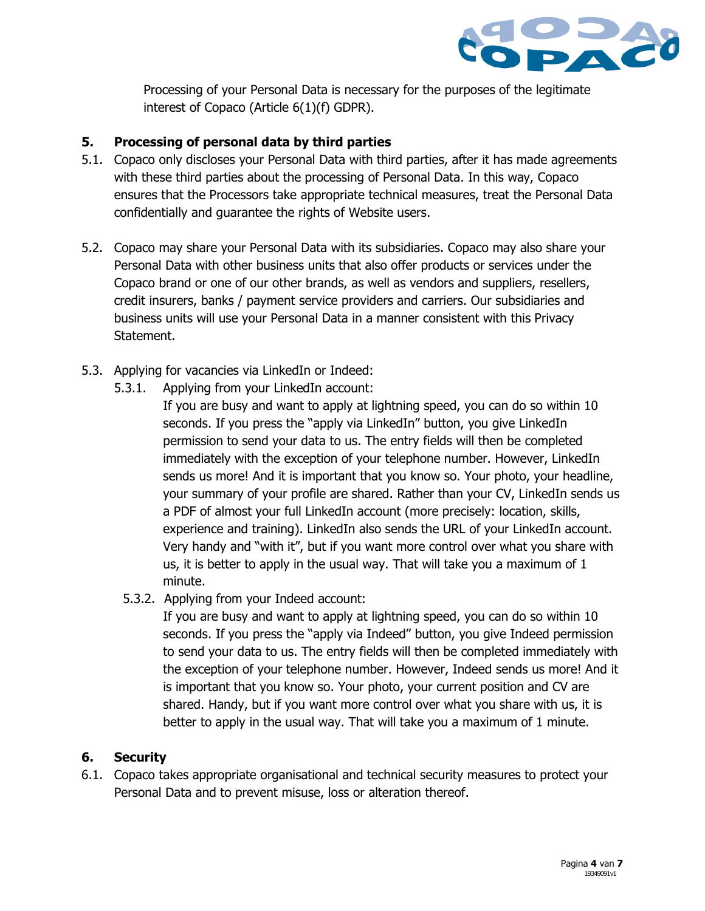

Processing of your Personal Data is necessary for the purposes of the legitimate interest of Copaco (Article 6(1)(f) GDPR).

# **5. Processing of personal data by third parties**

- 5.1. Copaco only discloses your Personal Data with third parties, after it has made agreements with these third parties about the processing of Personal Data. In this way, Copaco ensures that the Processors take appropriate technical measures, treat the Personal Data confidentially and guarantee the rights of Website users.
- 5.2. Copaco may share your Personal Data with its subsidiaries. Copaco may also share your Personal Data with other business units that also offer products or services under the Copaco brand or one of our other brands, as well as vendors and suppliers, resellers, credit insurers, banks / payment service providers and carriers. Our subsidiaries and business units will use your Personal Data in a manner consistent with this Privacy Statement.
- 5.3. Applying for vacancies via LinkedIn or Indeed:
	- 5.3.1. Applying from your LinkedIn account:
		- If you are busy and want to apply at lightning speed, you can do so within 10 seconds. If you press the "apply via LinkedIn" button, you give LinkedIn permission to send your data to us. The entry fields will then be completed immediately with the exception of your telephone number. However, LinkedIn sends us more! And it is important that you know so. Your photo, your headline, your summary of your profile are shared. Rather than your CV, LinkedIn sends us a PDF of almost your full LinkedIn account (more precisely: location, skills, experience and training). LinkedIn also sends the URL of your LinkedIn account. Very handy and "with it", but if you want more control over what you share with us, it is better to apply in the usual way. That will take you a maximum of 1 minute.
		- 5.3.2. Applying from your Indeed account:

If you are busy and want to apply at lightning speed, you can do so within 10 seconds. If you press the "apply via Indeed" button, you give Indeed permission to send your data to us. The entry fields will then be completed immediately with the exception of your telephone number. However, Indeed sends us more! And it is important that you know so. Your photo, your current position and CV are shared. Handy, but if you want more control over what you share with us, it is better to apply in the usual way. That will take you a maximum of 1 minute.

### **6. Security**

6.1. Copaco takes appropriate organisational and technical security measures to protect your Personal Data and to prevent misuse, loss or alteration thereof.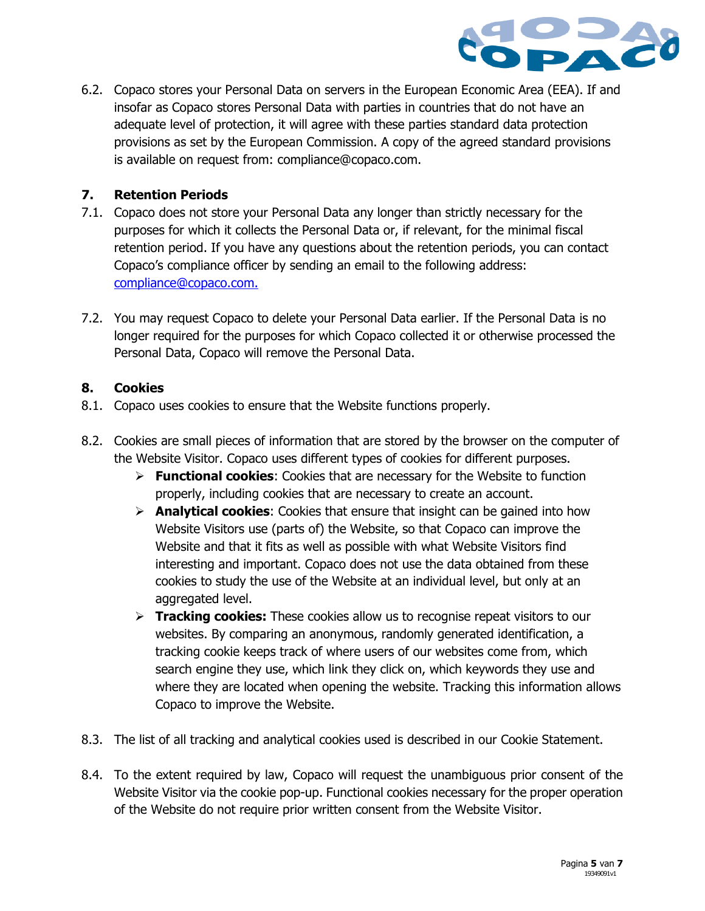

6.2. Copaco stores your Personal Data on servers in the European Economic Area (EEA). If and insofar as Copaco stores Personal Data with parties in countries that do not have an adequate level of protection, it will agree with these parties standard data protection provisions as set by the European Commission. A copy of the agreed standard provisions is available on request from: compliance@copaco.com.

### **7. Retention Periods**

- 7.1. Copaco does not store your Personal Data any longer than strictly necessary for the purposes for which it collects the Personal Data or, if relevant, for the minimal fiscal retention period. If you have any questions about the retention periods, you can contact Copaco's compliance officer by sending an email to the following address: [compliance@copaco.com.](mailto:compliance@copaco.com)
- 7.2. You may request Copaco to delete your Personal Data earlier. If the Personal Data is no longer required for the purposes for which Copaco collected it or otherwise processed the Personal Data, Copaco will remove the Personal Data.

# **8. Cookies**

- 8.1. Copaco uses cookies to ensure that the Website functions properly.
- 8.2. Cookies are small pieces of information that are stored by the browser on the computer of the Website Visitor. Copaco uses different types of cookies for different purposes.
	- ➢ **Functional cookies**: Cookies that are necessary for the Website to function properly, including cookies that are necessary to create an account.
	- ➢ **Analytical cookies**: Cookies that ensure that insight can be gained into how Website Visitors use (parts of) the Website, so that Copaco can improve the Website and that it fits as well as possible with what Website Visitors find interesting and important. Copaco does not use the data obtained from these cookies to study the use of the Website at an individual level, but only at an aggregated level.
	- ➢ **Tracking cookies:** These cookies allow us to recognise repeat visitors to our websites. By comparing an anonymous, randomly generated identification, a tracking cookie keeps track of where users of our websites come from, which search engine they use, which link they click on, which keywords they use and where they are located when opening the website. Tracking this information allows Copaco to improve the Website.
- 8.3. The list of all tracking and analytical cookies used is described in our Cookie Statement.
- 8.4. To the extent required by law, Copaco will request the unambiguous prior consent of the Website Visitor via the cookie pop-up. Functional cookies necessary for the proper operation of the Website do not require prior written consent from the Website Visitor.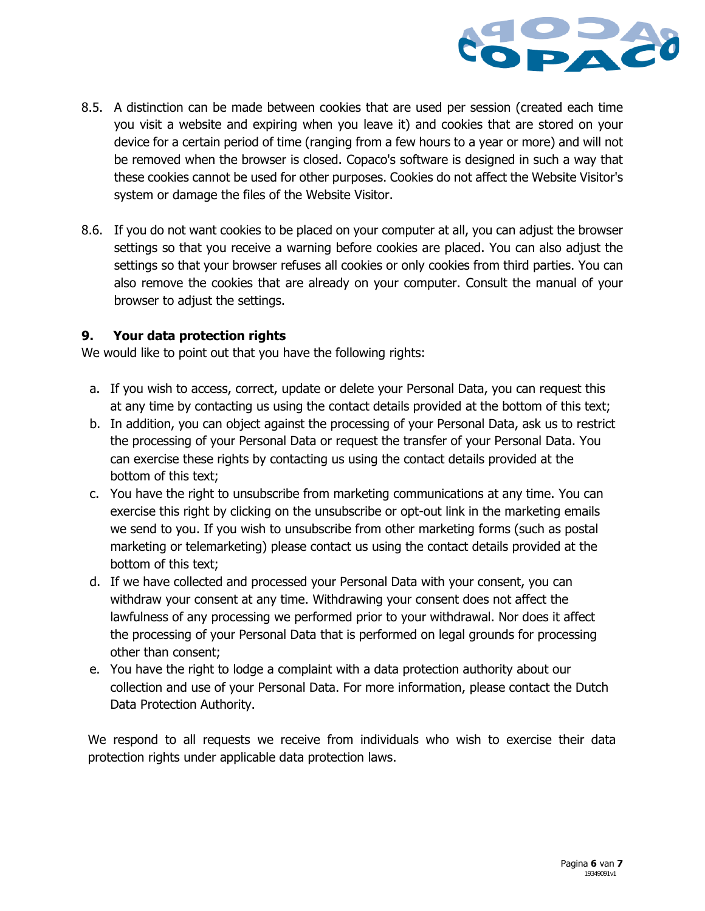

- 8.5. A distinction can be made between cookies that are used per session (created each time you visit a website and expiring when you leave it) and cookies that are stored on your device for a certain period of time (ranging from a few hours to a year or more) and will not be removed when the browser is closed. Copaco's software is designed in such a way that these cookies cannot be used for other purposes. Cookies do not affect the Website Visitor's system or damage the files of the Website Visitor.
- 8.6. If you do not want cookies to be placed on your computer at all, you can adjust the browser settings so that you receive a warning before cookies are placed. You can also adjust the settings so that your browser refuses all cookies or only cookies from third parties. You can also remove the cookies that are already on your computer. Consult the manual of your browser to adjust the settings.

### **9. Your data protection rights**

We would like to point out that you have the following rights:

- a. If you wish to access, correct, update or delete your Personal Data, you can request this at any time by contacting us using the contact details provided at the bottom of this text;
- b. In addition, you can object against the processing of your Personal Data, ask us to restrict the processing of your Personal Data or request the transfer of your Personal Data. You can exercise these rights by contacting us using the contact details provided at the bottom of this text;
- c. You have the right to unsubscribe from marketing communications at any time. You can exercise this right by clicking on the unsubscribe or opt-out link in the marketing emails we send to you. If you wish to unsubscribe from other marketing forms (such as postal marketing or telemarketing) please contact us using the contact details provided at the bottom of this text;
- d. If we have collected and processed your Personal Data with your consent, you can withdraw your consent at any time. Withdrawing your consent does not affect the lawfulness of any processing we performed prior to your withdrawal. Nor does it affect the processing of your Personal Data that is performed on legal grounds for processing other than consent;
- e. You have the right to lodge a complaint with a data protection authority about our collection and use of your Personal Data. For more information, please contact the Dutch Data Protection Authority.

We respond to all requests we receive from individuals who wish to exercise their data protection rights under applicable data protection laws.